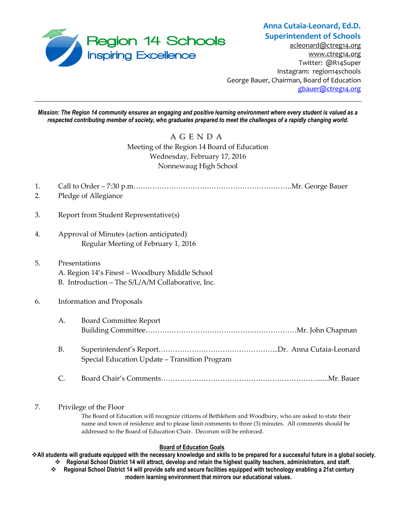

# **Anna Cutaia-Leonard, Ed.D. Superintendent of Schools**

[acleonard@ctreg14.org](mailto:acleonard@ctreg14.org) [www.ctreg14.org](http://www.ctreg14.org/) Twitter: @R14Super Instagram: region14schools George Bauer, Chairman, Board of Education [gbauer@ctreg14.org](mailto:gbauer@ctreg14.org)

*Mission: The Region 14 community ensures an engaging and positive learning environment where every student is valued as a respected contributing member of society, who graduates prepared to meet the challenges of a rapidly changing world.*

## A G E N D A Meeting of the Region 14 Board of Education Wednesday, February 17, 2016 Nonnewaug High School

| 1.<br>2. |                                  | Pledge of Allegiance                                                                                                 |  |  |
|----------|----------------------------------|----------------------------------------------------------------------------------------------------------------------|--|--|
| 3.       |                                  | Report from Student Representative(s)                                                                                |  |  |
| 4.       |                                  | Approval of Minutes (action anticipated)<br>Regular Meeting of February 1, 2016                                      |  |  |
| 5.       |                                  | Presentations<br>A. Region 14's Finest - Woodbury Middle School<br>B. Introduction - The S/L/A/M Collaborative, Inc. |  |  |
| 6.       | <b>Information and Proposals</b> |                                                                                                                      |  |  |
|          | А.                               | <b>Board Committee Report</b>                                                                                        |  |  |
|          | <b>B.</b>                        | Special Education Update - Transition Program                                                                        |  |  |
|          | C.                               |                                                                                                                      |  |  |

### 7. Privilege of the Floor

The Board of Education will recognize citizens of Bethlehem and Woodbury, who are asked to state their name and town of residence and to please limit comments to three (3) minutes. All comments should be addressed to the Board of Education Chair. Decorum will be enforced.

### **Board of Education Goals**

**All students will graduate equipped with the necessary knowledge and skills to be prepared for a successful future in a global society. Regional School District 14 will attract, develop and retain the highest quality teachers, administrators, and staff.**

 **Regional School District 14 will provide safe and secure facilities equipped with technology enabling a 21st century modern learning environment that mirrors our educational values.**